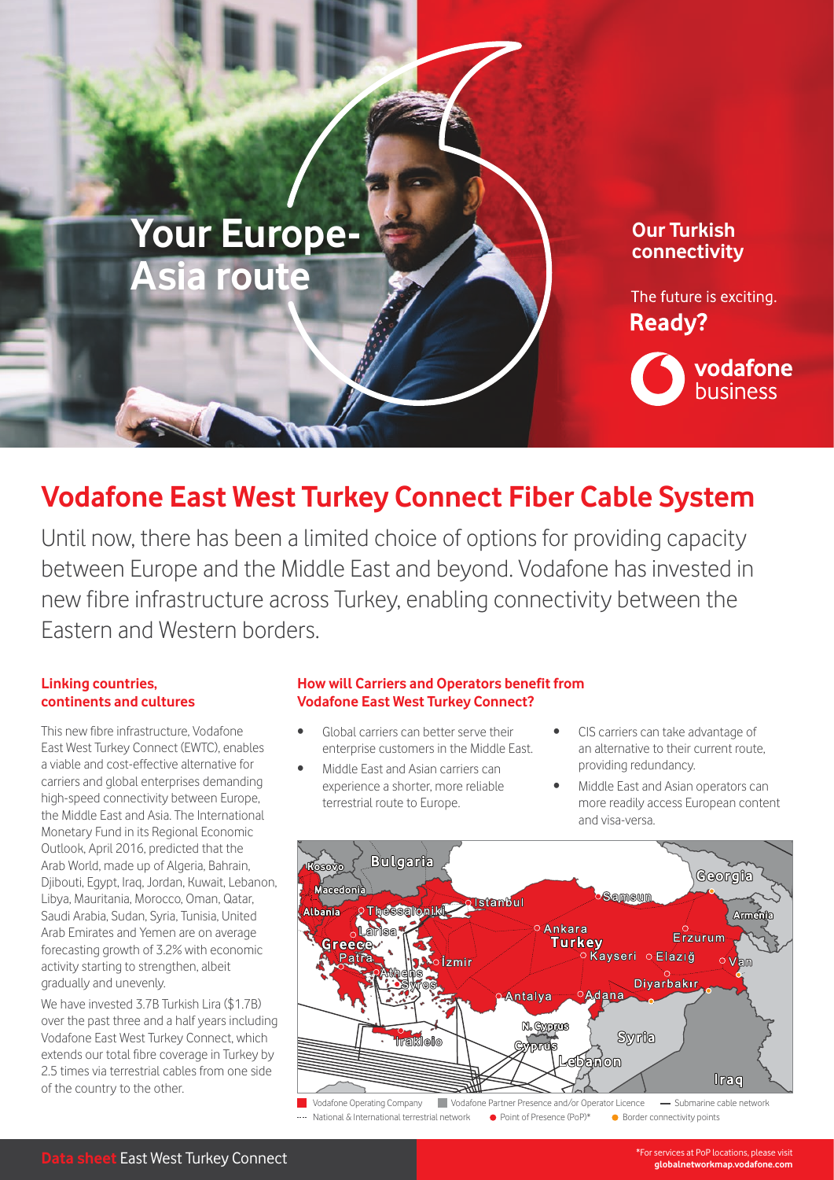

# **Vodafone East West Turkey Connect Fiber Cable System**

Until now, there has been a limited choice of options for providing capacity between Europe and the Middle East and beyond. Vodafone has invested in new fibre infrastructure across Turkey, enabling connectivity between the Eastern and Western borders.

### **Linking countries, continents and cultures**

This new fibre infrastructure, Vodafone East West Turkey Connect (EWTC), enables a viable and cost-effective alternative for carriers and global enterprises demanding high-speed connectivity between Europe, the Middle East and Asia. The International Monetary Fund in its Regional Economic Outlook, April 2016, predicted that the Arab World, made up of Algeria, Bahrain, Djibouti, Egypt, Iraq, Jordan, Kuwait, Lebanon, Libya, Mauritania, Morocco, Oman, Qatar, Saudi Arabia, Sudan, Syria, Tunisia, United Arab Emirates and Yemen are on average forecasting growth of 3.2% with economic activity starting to strengthen, albeit gradually and unevenly.

We have invested 3.7B Turkish Lira (\$1.7B) over the past three and a half years including Vodafone East West Turkey Connect, which extends our total fibre coverage in Turkey by 2.5 times via terrestrial cables from one side of the country to the other.

## **How will Carriers and Operators benefit from Vodafone East West Turkey Connect?**

- Global carriers can better serve their enterprise customers in the Middle East.
- Middle East and Asian carriers can experience a shorter, more reliable terrestrial route to Europe.
- CIS carriers can take advantage of an alternative to their current route, providing redundancy.
- Middle East and Asian operators can more readily access European content and visa-versa.



**Data sheet** East West Turkey Connect